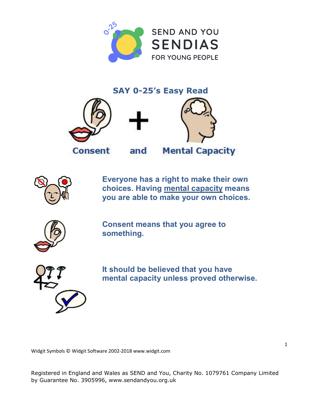

**SAY 0**-25's Easy Read





Everyone has a right to make their own choices. Having mental capacity means you are able to make your own choices.



Consent means that you agree to something.



It should be believed that you have mental capacity unless proved otherwise.

Widgit Symbols © Widgit Software 2002-2018 [www.widgit.com](http://www.widgit.com)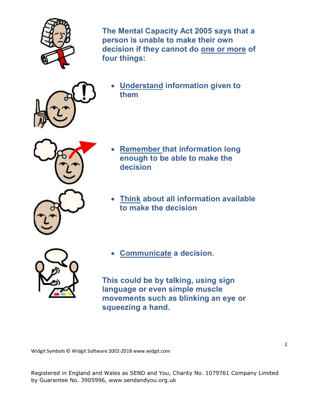

The Mental Capacity Act 2005 says that a person is unable to make their own decision if they cannot do one or more of four things:



 Understand information given to them



- Remember that information long enough to be able to make the decision
- Think about all information available to make the decision



Communicate a decision.

This could be by talking, using sign language or even simple muscle movements such as blinking an eye or squeezing a hand.

Widgit Symbols © Widgit Software 2002-2018 [www.widgit.com](http://www.widgit.com)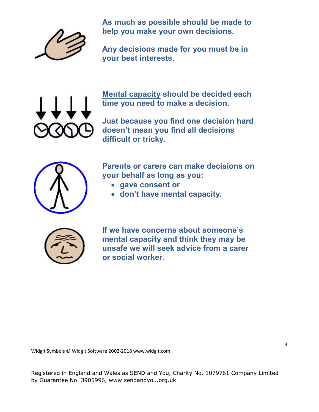

As much as possible should be made to help you make your own decisions.

Any decisions made for you must be in your best interests.



Mental capacity should be decided each time you need to make a decision.

Just because you find one decision hard doesn't mean you find all decisions difficult or tricky.



Parents or carers can make decisions on your behalf as long as you:

- gave consent or
- don't have mental capacity.



If we have concerns about someone's mental capacity and think they may be unsafe we will seek advice from a carer or social worker.

Widgit Symbols © Widgit Software 2002-2018 [www.widgit.com](http://www.widgit.com)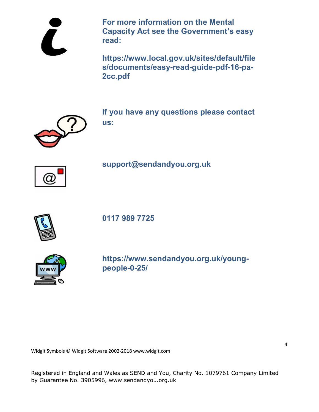For more information on the Mental Capacity Act see the Government's easy read:

<https://www.local.gov.uk/sites/default/file> s/documents/easy-read-guide-pdf-16-pa-2cc.pdf



If you have any questions please contact us:



support@**[sendandyou](mailto:support@sendandyou.org.uk)**.org.uk



0117 989 7725



**[https://www.sendandyou.org.uk/young](https://www.sendandyou.org.uk/young-people-0-25/)people-[0-25/](https://www.sendandyou.org.uk/young-people-0-25/)**

Widgit Symbols © Widgit Software 2002-2018 [www.widgit.com](http://www.widgit.com)